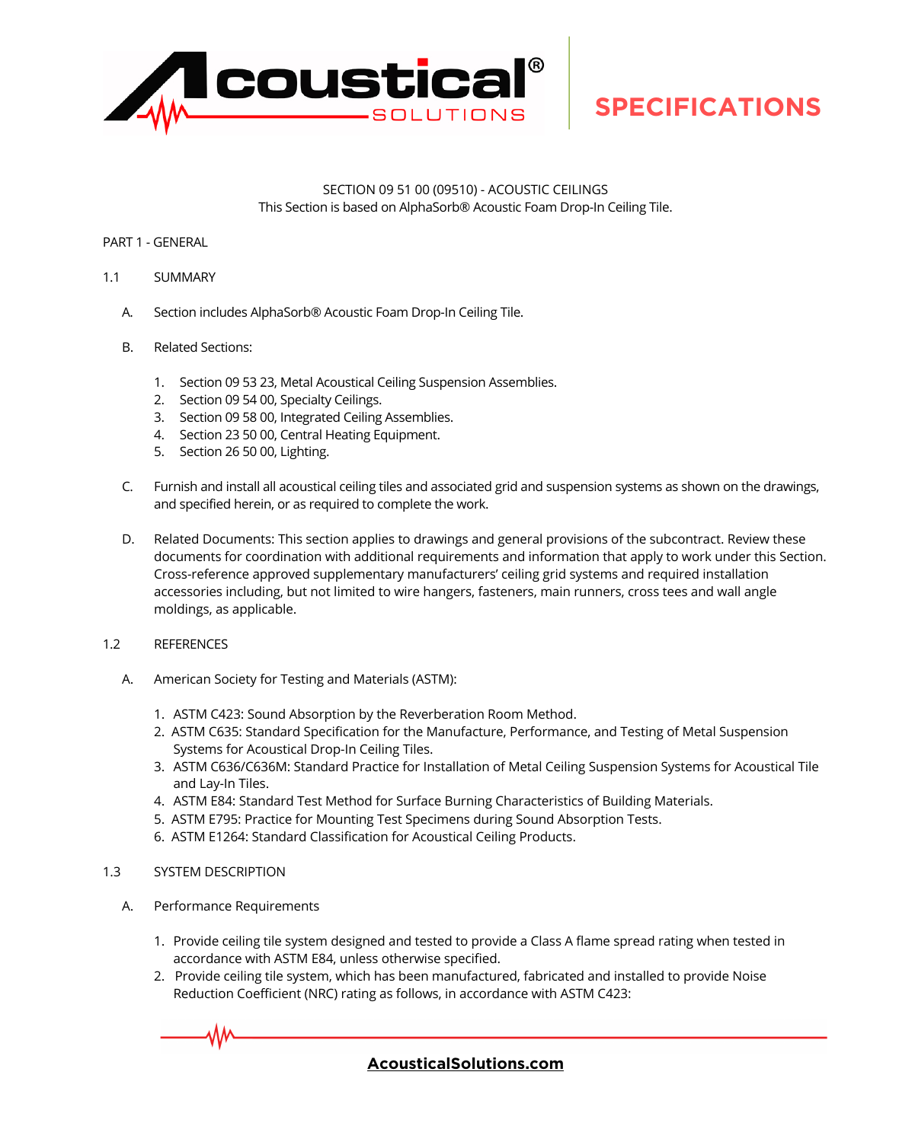

## SECTION 09 51 00 (09510) - ACOUSTIC CEILINGS This Section is based on AlphaSorb® Acoustic Foam Drop-In Ceiling Tile.

### PART 1 - GENERAL

### 1.1 SUMMARY

- A. Section includes AlphaSorb® Acoustic Foam Drop-In Ceiling Tile.
- B. Related Sections:
	- 1. Section 09 53 23, Metal Acoustical Ceiling Suspension Assemblies.
	- 2. Section 09 54 00, Specialty Ceilings.
	- 3. Section 09 58 00, Integrated Ceiling Assemblies.
	- 4. Section 23 50 00, Central Heating Equipment.
	- 5. Section 26 50 00, Lighting.
- C. Furnish and install all acoustical ceiling tiles and associated grid and suspension systems as shown on the drawings, and specified herein, or as required to complete the work.
- D. Related Documents: This section applies to drawings and general provisions of the subcontract. Review these documents for coordination with additional requirements and information that apply to work under this Section. Cross-reference approved supplementary manufacturers' ceiling grid systems and required installation accessories including, but not limited to wire hangers, fasteners, main runners, cross tees and wall angle moldings, as applicable.
- 1.2 REFERENCES
	- A. American Society for Testing and Materials (ASTM):
		- 1. ASTM C423: Sound Absorption by the Reverberation Room Method.
		- 2. ASTM C635: Standard Specification for the Manufacture, Performance, and Testing of Metal Suspension Systems for Acoustical Drop-In Ceiling Tiles.
		- 3. ASTM C636/C636M: Standard Practice for Installation of Metal Ceiling Suspension Systems for Acoustical Tile and Lay-In Tiles.
		- 4. ASTM E84: Standard Test Method for Surface Burning Characteristics of Building Materials.
		- 5. ASTM E795: Practice for Mounting Test Specimens during Sound Absorption Tests.
		- 6. ASTM E1264: Standard Classification for Acoustical Ceiling Products.

### 1.3 SYSTEM DESCRIPTION

- A. Performance Requirements
	- 1. Provide ceiling tile system designed and tested to provide a Class A flame spread rating when tested in accordance with ASTM E84, unless otherwise specified.
	- 2. Provide ceiling tile system, which has been manufactured, fabricated and installed to provide Noise Reduction Coefficient (NRC) rating as follows, in accordance with ASTM C423:

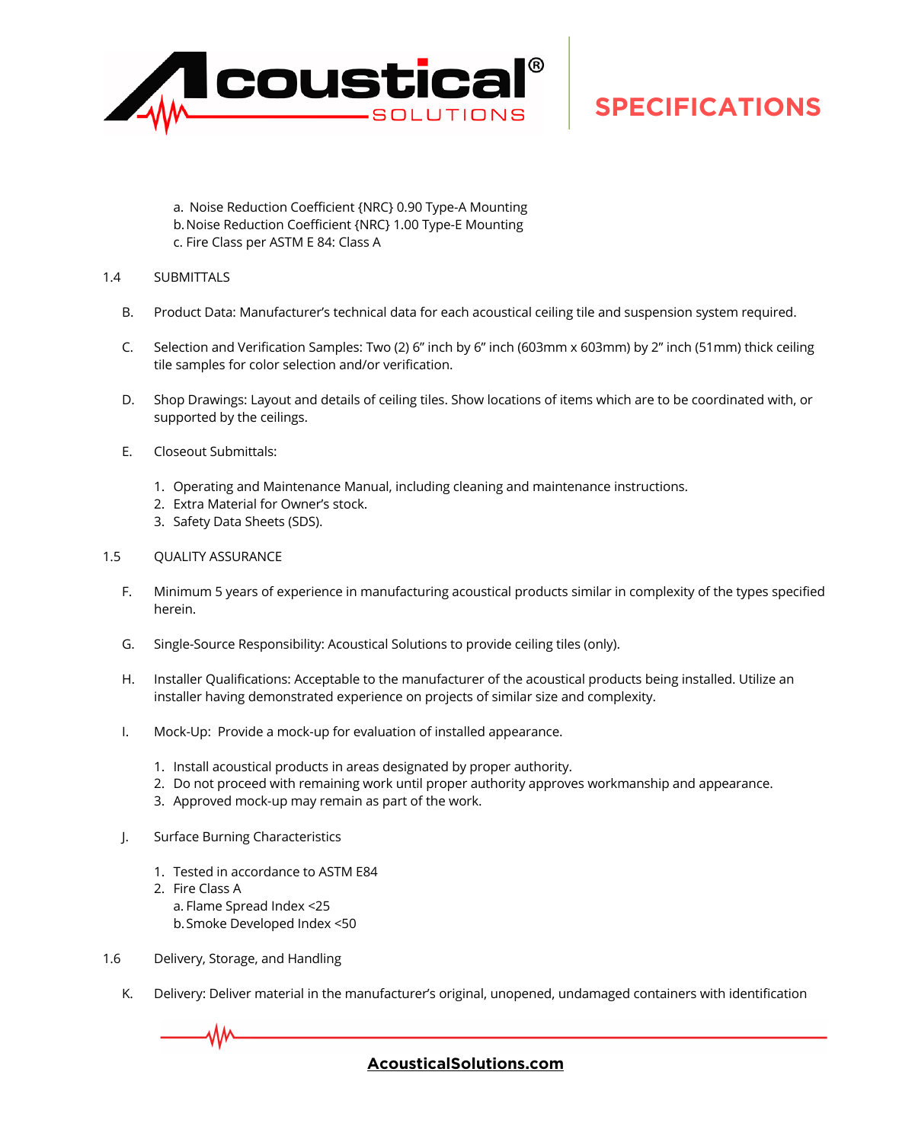

a. Noise Reduction Coefficient {NRC} 0.90 Type-A Mounting b.Noise Reduction Coefficient {NRC} 1.00 Type-E Mounting c. Fire Class per ASTM E 84: Class A

### 1.4 SUBMITTALS

- B. Product Data: Manufacturer's technical data for each acoustical ceiling tile and suspension system required.
- C. Selection and Verification Samples: Two (2) 6" inch by 6" inch (603mm x 603mm) by 2" inch (51mm) thick ceiling tile samples for color selection and/or verification.
- D. Shop Drawings: Layout and details of ceiling tiles. Show locations of items which are to be coordinated with, or supported by the ceilings.
- E. Closeout Submittals:
	- 1. Operating and Maintenance Manual, including cleaning and maintenance instructions.
	- 2. Extra Material for Owner's stock.
	- 3. Safety Data Sheets (SDS).

#### 1.5 QUALITY ASSURANCE

- F. Minimum 5 years of experience in manufacturing acoustical products similar in complexity of the types specified herein.
- G. Single-Source Responsibility: Acoustical Solutions to provide ceiling tiles (only).
- H. Installer Qualifications: Acceptable to the manufacturer of the acoustical products being installed. Utilize an installer having demonstrated experience on projects of similar size and complexity.
- I. Mock-Up: Provide a mock-up for evaluation of installed appearance.
	- 1. Install acoustical products in areas designated by proper authority.
	- 2. Do not proceed with remaining work until proper authority approves workmanship and appearance.
	- 3. Approved mock-up may remain as part of the work.
- J. Surface Burning Characteristics
	- 1. Tested in accordance to ASTM E84
	- 2. Fire Class A
		- a. Flame Spread Index <25
		- b.Smoke Developed Index <50
- 1.6 Delivery, Storage, and Handling
	- K. Delivery: Deliver material in the manufacturer's original, unopened, undamaged containers with identification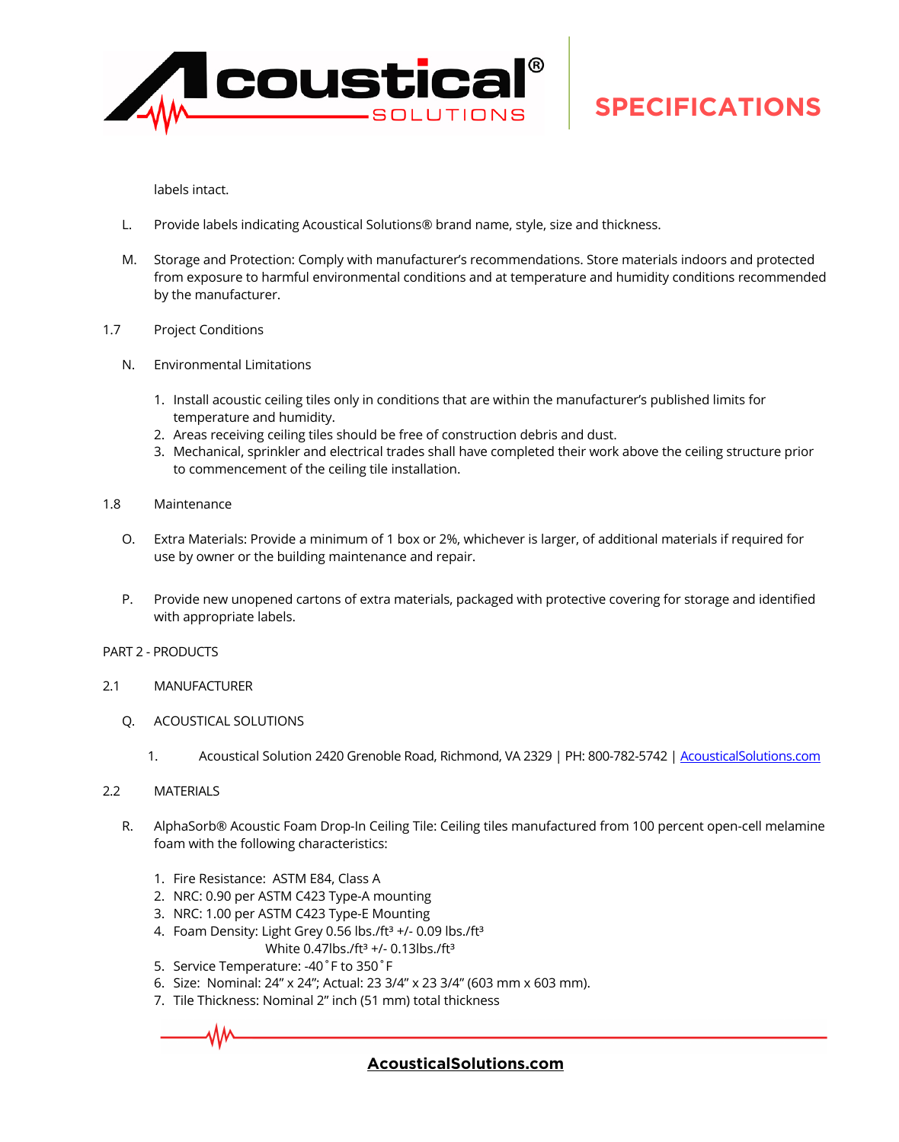

labels intact.

- L. Provide labels indicating Acoustical Solutions® brand name, style, size and thickness.
- M. Storage and Protection: Comply with manufacturer's recommendations. Store materials indoors and protected from exposure to harmful environmental conditions and at temperature and humidity conditions recommended by the manufacturer.
- 1.7 Project Conditions
	- N. Environmental Limitations
		- 1. Install acoustic ceiling tiles only in conditions that are within the manufacturer's published limits for temperature and humidity.
		- 2. Areas receiving ceiling tiles should be free of construction debris and dust.
		- 3. Mechanical, sprinkler and electrical trades shall have completed their work above the ceiling structure prior to commencement of the ceiling tile installation.
- 1.8 Maintenance
	- O. Extra Materials: Provide a minimum of 1 box or 2%, whichever is larger, of additional materials if required for use by owner or the building maintenance and repair.
	- P. Provide new unopened cartons of extra materials, packaged with protective covering for storage and identified with appropriate labels.
- PART 2 PRODUCTS
- 2.1 MANUFACTURER
	- Q. ACOUSTICAL SOLUTIONS
		- 1. Acoustical Solution 2420 Grenoble Road, Richmond, VA 2329 | PH: 800-782-5742 | Acoustical Solutions.com
- 2.2 MATERIALS
	- R. AlphaSorb® Acoustic Foam Drop-In Ceiling Tile: Ceiling tiles manufactured from 100 percent open-cell melamine foam with the following characteristics:
		- 1. Fire Resistance: ASTM E84, Class A
		- 2. NRC: 0.90 per ASTM C423 Type-A mounting
		- 3. NRC: 1.00 per ASTM C423 Type-E Mounting
		- 4. Foam Density: Light Grey 0.56 lbs./ft<sup>3</sup> +/- 0.09 lbs./ft<sup>3</sup>
			- White  $0.47$ lbs./ft $3 +$ /-  $0.13$ lbs./ft $3$
		- 5. Service Temperature: -40˚F to 350˚F
		- 6. Size: Nominal: 24" x 24"; Actual: 23 3/4" x 23 3/4" (603 mm x 603 mm).
		- 7. Tile Thickness: Nominal 2" inch (51 mm) total thickness